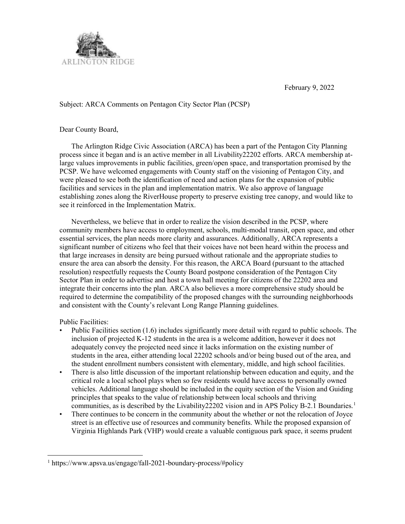

February 9, 2022

## Subject: ARCA Comments on Pentagon City Sector Plan (PCSP)

Dear County Board,

 The Arlington Ridge Civic Association (ARCA) has been a part of the Pentagon City Planning process since it began and is an active member in all Livability22202 efforts. ARCA membership atlarge values improvements in public facilities, green/open space, and transportation promised by the PCSP. We have welcomed engagements with County staff on the visioning of Pentagon City, and were pleased to see both the identification of need and action plans for the expansion of public facilities and services in the plan and implementation matrix. We also approve of language establishing zones along the RiverHouse property to preserve existing tree canopy, and would like to see it reinforced in the Implementation Matrix.

 Nevertheless, we believe that in order to realize the vision described in the PCSP, where community members have access to employment, schools, multi-modal transit, open space, and other essential services, the plan needs more clarity and assurances. Additionally, ARCA represents a significant number of citizens who feel that their voices have not been heard within the process and that large increases in density are being pursued without rationale and the appropriate studies to ensure the area can absorb the density. For this reason, the ARCA Board (pursuant to the attached resolution) respectfully requests the County Board postpone consideration of the Pentagon City Sector Plan in order to advertise and host a town hall meeting for citizens of the 22202 area and integrate their concerns into the plan. ARCA also believes a more comprehensive study should be required to determine the compatibility of the proposed changes with the surrounding neighborhoods and consistent with the County's relevant Long Range Planning guidelines.

Public Facilities:

 $\overline{a}$ 

- Public Facilities section (1.6) includes significantly more detail with regard to public schools. The inclusion of projected K-12 students in the area is a welcome addition, however it does not adequately convey the projected need since it lacks information on the existing number of students in the area, either attending local 22202 schools and/or being bused out of the area, and the student enrollment numbers consistent with elementary, middle, and high school facilities.
- There is also little discussion of the important relationship between education and equity, and the critical role a local school plays when so few residents would have access to personally owned vehicles. Additional language should be included in the equity section of the Vision and Guiding principles that speaks to the value of relationship between local schools and thriving communities, as is described by the Livability 22202 vision and in APS Policy B-2.1 Boundaries.<sup>1</sup>
- There continues to be concern in the community about the whether or not the relocation of Joyce street is an effective use of resources and community benefits. While the proposed expansion of Virginia Highlands Park (VHP) would create a valuable contiguous park space, it seems prudent

<sup>1</sup> https://www.apsva.us/engage/fall-2021-boundary-process/#policy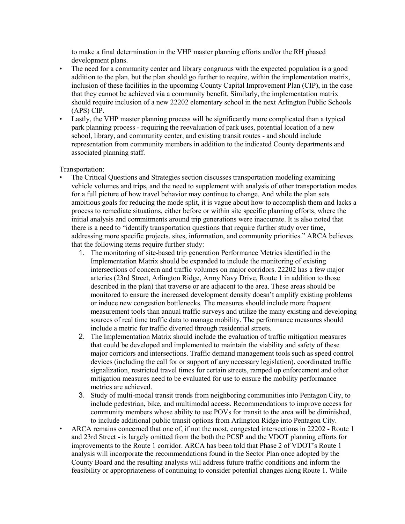to make a final determination in the VHP master planning efforts and/or the RH phased development plans.

- The need for a community center and library congruous with the expected population is a good addition to the plan, but the plan should go further to require, within the implementation matrix, inclusion of these facilities in the upcoming County Capital Improvement Plan (CIP), in the case that they cannot be achieved via a community benefit. Similarly, the implementation matrix should require inclusion of a new 22202 elementary school in the next Arlington Public Schools (APS) CIP.
- Lastly, the VHP master planning process will be significantly more complicated than a typical park planning process - requiring the reevaluation of park uses, potential location of a new school, library, and community center, and existing transit routes - and should include representation from community members in addition to the indicated County departments and associated planning staff.

Transportation:

- The Critical Questions and Strategies section discusses transportation modeling examining vehicle volumes and trips, and the need to supplement with analysis of other transportation modes for a full picture of how travel behavior may continue to change. And while the plan sets ambitious goals for reducing the mode split, it is vague about how to accomplish them and lacks a process to remediate situations, either before or within site specific planning efforts, where the initial analysis and commitments around trip generations were inaccurate. It is also noted that there is a need to "identify transportation questions that require further study over time, addressing more specific projects, sites, information, and community priorities." ARCA believes that the following items require further study:
	- 1. The monitoring of site-based trip generation Performance Metrics identified in the Implementation Matrix should be expanded to include the monitoring of existing intersections of concern and traffic volumes on major corridors. 22202 has a few major arteries (23rd Street, Arlington Ridge, Army Navy Drive, Route 1 in addition to those described in the plan) that traverse or are adjacent to the area. These areas should be monitored to ensure the increased development density doesn't amplify existing problems or induce new congestion bottlenecks. The measures should include more frequent measurement tools than annual traffic surveys and utilize the many existing and developing sources of real time traffic data to manage mobility. The performance measures should include a metric for traffic diverted through residential streets.
	- 2. The Implementation Matrix should include the evaluation of traffic mitigation measures that could be developed and implemented to maintain the viability and safety of these major corridors and intersections. Traffic demand management tools such as speed control devices (including the call for or support of any necessary legislation), coordinated traffic signalization, restricted travel times for certain streets, ramped up enforcement and other mitigation measures need to be evaluated for use to ensure the mobility performance metrics are achieved.
	- 3. Study of multi-modal transit trends from neighboring communities into Pentagon City, to include pedestrian, bike, and multimodal access. Recommendations to improve access for community members whose ability to use POVs for transit to the area will be diminished, to include additional public transit options from Arlington Ridge into Pentagon City.
- ARCA remains concerned that one of, if not the most, congested intersections in 22202 Route 1 and 23rd Street - is largely omitted from the both the PCSP and the VDOT planning efforts for improvements to the Route 1 corridor. ARCA has been told that Phase 2 of VDOT's Route 1 analysis will incorporate the recommendations found in the Sector Plan once adopted by the County Board and the resulting analysis will address future traffic conditions and inform the feasibility or appropriateness of continuing to consider potential changes along Route 1. While